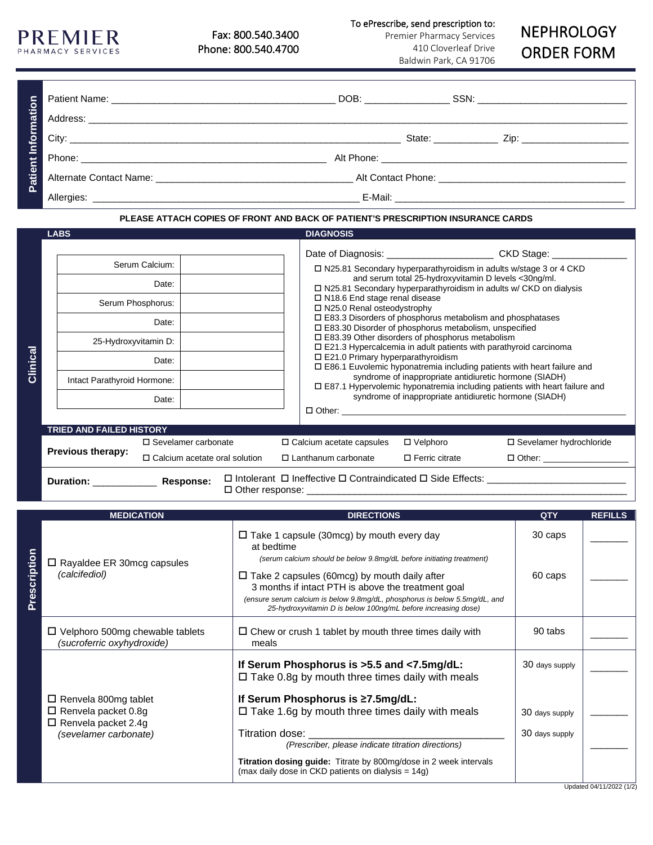Fax: 800.540.3400 Phone: 800.540.4700

**PREMIER** PHARMACY SERVICES To ePrescribe, send prescription to:

Premier Pharmacy Services 410 Cloverleaf Drive Baldwin Park, CA 91706

## NEPHROLOGY ORDER FORM

| PLEASE ATTACH COPIES OF FRONT AND BACK OF PATIENT'S PRESCRIPTION INSURANCE CARDS |                                                                                        |                                                                         |                                                                                                                                                                                                                                                                                                                                                                                                                                                                                                                                                                                                                                                                                                                                                                                                                                                                                                                                                                          |  |  |  |  |
|----------------------------------------------------------------------------------|----------------------------------------------------------------------------------------|-------------------------------------------------------------------------|--------------------------------------------------------------------------------------------------------------------------------------------------------------------------------------------------------------------------------------------------------------------------------------------------------------------------------------------------------------------------------------------------------------------------------------------------------------------------------------------------------------------------------------------------------------------------------------------------------------------------------------------------------------------------------------------------------------------------------------------------------------------------------------------------------------------------------------------------------------------------------------------------------------------------------------------------------------------------|--|--|--|--|
|                                                                                  | <b>LABS</b>                                                                            |                                                                         | <b>DIAGNOSIS</b>                                                                                                                                                                                                                                                                                                                                                                                                                                                                                                                                                                                                                                                                                                                                                                                                                                                                                                                                                         |  |  |  |  |
| Clinical                                                                         | 25-Hydroxyvitamin D:<br>Intact Parathyroid Hormone:<br><b>TRIED AND FAILED HISTORY</b> | Serum Calcium:<br>Date:<br>Serum Phosphorus:<br>Date:<br>Date:<br>Date: | Date of Diagnosis: ______________________________ CKD Stage: ________<br>$\Box$ N25.81 Secondary hyperparathyroidism in adults w/stage 3 or 4 CKD<br>and serum total 25-hydroxyvitamin D levels <30ng/ml.<br>□ N25.81 Secondary hyperparathyroidism in adults w/ CKD on dialysis<br>$\Box$ N18.6 End stage renal disease<br>$\Box$ N25.0 Renal osteodystrophy<br>□ E83.3 Disorders of phosphorus metabolism and phosphatases<br>□ E83.30 Disorder of phosphorus metabolism, unspecified<br>$\square$ E83.39 Other disorders of phosphorus metabolism<br>$\square$ E21.3 Hypercalcemia in adult patients with parathyroid carcinoma<br>$\square$ E21.0 Primary hyperparathyroidism<br>$\square$ E86.1 Euvolemic hyponatremia including patients with heart failure and<br>syndrome of inappropriate antidiuretic hormone (SIADH)<br>□ E87.1 Hypervolemic hyponatremia including patients with heart failure and<br>syndrome of inappropriate antidiuretic hormone (SIADH) |  |  |  |  |
|                                                                                  | Previous therapy:                                                                      | $\Box$ Sevelamer carbonate<br>$\Box$ Calcium acetate oral solution      | □ Sevelamer hydrochloride<br>$\Box$ Calcium acetate capsules<br>$\Box$ Velphoro<br>$\Box$ Lanthanum carbonate<br>$\square$ Ferric citrate<br>$\Box$ Other:                                                                                                                                                                                                                                                                                                                                                                                                                                                                                                                                                                                                                                                                                                                                                                                                               |  |  |  |  |
|                                                                                  | Duration: Response:                                                                    |                                                                         |                                                                                                                                                                                                                                                                                                                                                                                                                                                                                                                                                                                                                                                                                                                                                                                                                                                                                                                                                                          |  |  |  |  |

|             | <b>MEDICATION</b>                                                                                                | <b>DIRECTIONS</b>                                                                                                                                                                                                                                                                                                                | QTY                              | <b>REFILLS</b> |
|-------------|------------------------------------------------------------------------------------------------------------------|----------------------------------------------------------------------------------------------------------------------------------------------------------------------------------------------------------------------------------------------------------------------------------------------------------------------------------|----------------------------------|----------------|
| rescription | $\Box$ Rayaldee ER 30mcg capsules<br>(calcifediol)                                                               | $\Box$ Take 1 capsule (30mcg) by mouth every day<br>at bedtime                                                                                                                                                                                                                                                                   | 30 caps                          |                |
|             |                                                                                                                  | (serum calcium should be below 9.8mg/dL before initiating treatment)<br>$\Box$ Take 2 capsules (60mcg) by mouth daily after<br>3 months if intact PTH is above the treatment goal<br>(ensure serum calcium is below 9.8mg/dL, phosphorus is below 5.5mg/dL, and<br>25-hydroxyvitamin D is below 100ng/mL before increasing dose) | 60 caps                          |                |
|             | $\Box$ Velphoro 500mg chewable tablets<br>(sucroferric oxyhydroxide)                                             | $\Box$ Chew or crush 1 tablet by mouth three times daily with<br>meals                                                                                                                                                                                                                                                           | 90 tabs                          |                |
|             |                                                                                                                  | If Serum Phosphorus is >5.5 and <7.5mg/dL:<br>$\Box$ Take 0.8g by mouth three times daily with meals                                                                                                                                                                                                                             | 30 days supply                   |                |
|             | $\Box$ Renvela 800mg tablet<br>$\Box$ Renvela packet 0.8g<br>$\Box$ Renvela packet 2.4g<br>(sevelamer carbonate) | If Serum Phosphorus is ≥7.5mg/dL:<br>$\Box$ Take 1.6g by mouth three times daily with meals<br>Titration dose:<br>(Prescriber, please indicate titration directions)<br><b>Titration dosing guide:</b> Titrate by 800mg/dose in 2 week intervals                                                                                 | 30 days supply<br>30 days supply |                |
|             |                                                                                                                  | (max daily dose in CKD patients on dialysis = $14g$ )                                                                                                                                                                                                                                                                            |                                  |                |

## Updated 04/11/2022 (1/2)